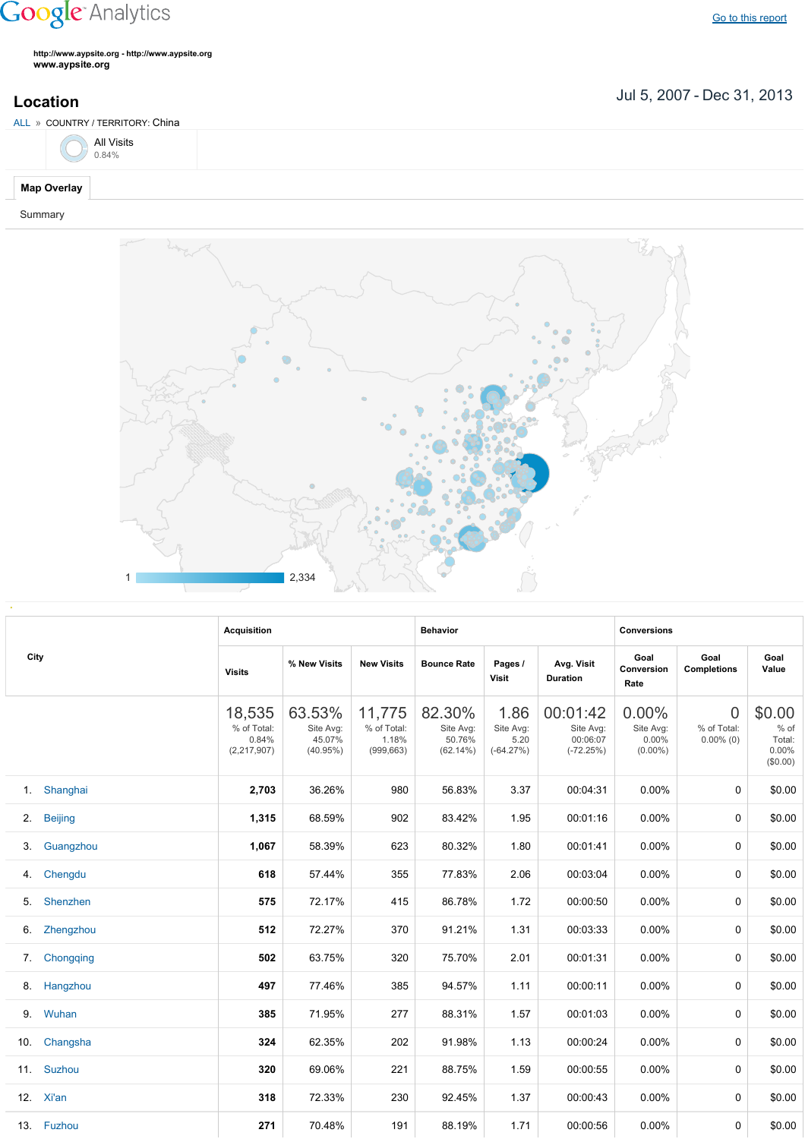## **Google** Analytics

Go to this [report](https://www.google.com/analytics/web/?utm_source=pdfReportLink#report/visitors-geo/a2184169w3912412p4016214/%3F_u.date00%3D20070705%26_u.date01%3D20131231%26geo-table.plotKeys%3D%5B%5D%26geo-table.rowStart%3D0%26geo-table.rowCount%3D1000%26_r.drilldown%3Danalytics.country%3ACN/)

**http://www.aypsite.org http://www.aypsite.org www.aypsite.org**

Jul 5, 2007 Dec 31, 2013 **Location**





|     |                | <b>Acquisition</b>                            |                                              |                                              | <b>Behavior</b>                              |                                          |                                                  | <b>Conversions</b>                        |                                               |                                                 |  |
|-----|----------------|-----------------------------------------------|----------------------------------------------|----------------------------------------------|----------------------------------------------|------------------------------------------|--------------------------------------------------|-------------------------------------------|-----------------------------------------------|-------------------------------------------------|--|
|     | City           | <b>Visits</b>                                 | % New Visits                                 | <b>New Visits</b>                            | <b>Bounce Rate</b>                           | Pages /<br>Visit                         | Avg. Visit<br><b>Duration</b>                    | Goal<br>Conversion<br>Rate                | Goal<br><b>Completions</b>                    | Goal<br>Value                                   |  |
|     |                | 18,535<br>% of Total:<br>0.84%<br>(2,217,907) | 63.53%<br>Site Avg:<br>45.07%<br>$(40.95\%)$ | 11,775<br>% of Total:<br>1.18%<br>(999, 663) | 82.30%<br>Site Avg:<br>50.76%<br>$(62.14\%)$ | 1.86<br>Site Avg:<br>5.20<br>$(-64.27%)$ | 00:01:42<br>Site Avg:<br>00:06:07<br>$(-72.25%)$ | 0.00%<br>Site Avg:<br>0.00%<br>$(0.00\%)$ | $\overline{0}$<br>% of Total:<br>$0.00\%$ (0) | \$0.00<br>$%$ of<br>Total:<br>0.00%<br>(\$0.00) |  |
| 1.  | Shanghai       | 2,703                                         | 36.26%                                       | 980                                          | 56.83%                                       | 3.37                                     | 00:04:31                                         | 0.00%                                     | $\mathbf{0}$                                  | \$0.00                                          |  |
| 2.  | <b>Beijing</b> | 1,315                                         | 68.59%                                       | 902                                          | 83.42%                                       | 1.95                                     | 00:01:16                                         | 0.00%                                     | 0                                             | \$0.00                                          |  |
| 3.  | Guangzhou      | 1,067                                         | 58.39%                                       | 623                                          | 80.32%                                       | 1.80                                     | 00:01:41                                         | 0.00%                                     | 0                                             | \$0.00                                          |  |
| 4.  | Chengdu        | 618                                           | 57.44%                                       | 355                                          | 77.83%                                       | 2.06                                     | 00:03:04                                         | 0.00%                                     | $\mathbf{0}$                                  | \$0.00                                          |  |
| 5.  | Shenzhen       | 575                                           | 72.17%                                       | 415                                          | 86.78%                                       | 1.72                                     | 00:00:50                                         | 0.00%                                     | 0                                             | \$0.00                                          |  |
| 6.  | Zhengzhou      | 512                                           | 72.27%                                       | 370                                          | 91.21%                                       | 1.31                                     | 00:03:33                                         | 0.00%                                     | 0                                             | \$0.00                                          |  |
| 7.  | Chongqing      | 502                                           | 63.75%                                       | 320                                          | 75.70%                                       | 2.01                                     | 00:01:31                                         | 0.00%                                     | 0                                             | \$0.00                                          |  |
| 8.  | Hangzhou       | 497                                           | 77.46%                                       | 385                                          | 94.57%                                       | 1.11                                     | 00:00:11                                         | 0.00%                                     | $\Omega$                                      | \$0.00                                          |  |
| 9.  | Wuhan          | 385                                           | 71.95%                                       | 277                                          | 88.31%                                       | 1.57                                     | 00:01:03                                         | $0.00\%$                                  | 0                                             | \$0.00                                          |  |
| 10. | Changsha       | 324                                           | 62.35%                                       | 202                                          | 91.98%                                       | 1.13                                     | 00:00:24                                         | 0.00%                                     | 0                                             | \$0.00                                          |  |
| 11. | Suzhou         | 320                                           | 69.06%                                       | 221                                          | 88.75%                                       | 1.59                                     | 00:00:55                                         | 0.00%                                     | 0                                             | \$0.00                                          |  |
|     | 12. Xi'an      | 318                                           | 72.33%                                       | 230                                          | 92.45%                                       | 1.37                                     | 00:00:43                                         | $0.00\%$                                  | 0                                             | \$0.00                                          |  |
|     | 13. Fuzhou     | 271                                           | 70.48%                                       | 191                                          | 88.19%                                       | 1.71                                     | 00:00:56                                         | 0.00%                                     | 0                                             | \$0.00                                          |  |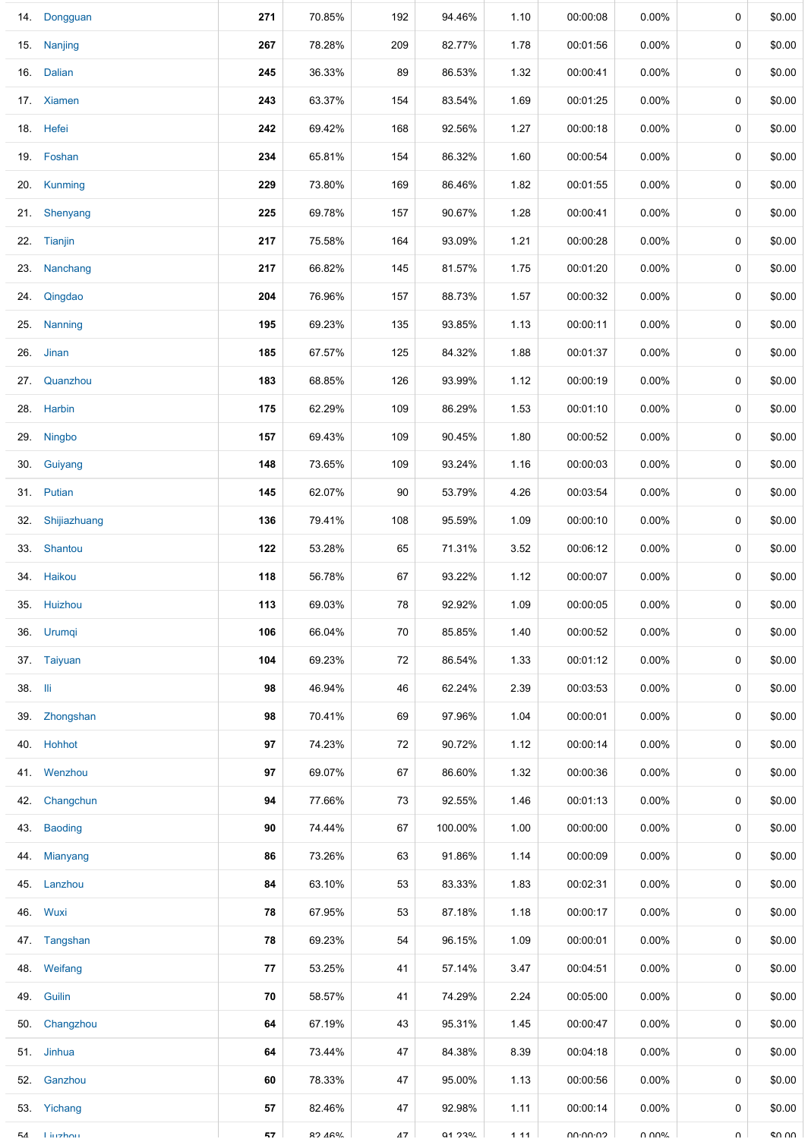|         | 14. Dongguan   | 271 | 70.85%  | 192 | 94.46%         | 1.10 | 00:00:08 | $0.00\%$ | 0           | \$0.00 |
|---------|----------------|-----|---------|-----|----------------|------|----------|----------|-------------|--------|
|         | 15. Nanjing    | 267 | 78.28%  | 209 | 82.77%         | 1.78 | 00:01:56 | $0.00\%$ | 0           | \$0.00 |
|         | 16. Dalian     | 245 | 36.33%  | 89  | 86.53%         | 1.32 | 00:00:41 | $0.00\%$ | 0           | \$0.00 |
|         | 17. Xiamen     | 243 | 63.37%  | 154 | 83.54%         | 1.69 | 00:01:25 | $0.00\%$ | 0           | \$0.00 |
|         | 18. Hefei      | 242 | 69.42%  | 168 | 92.56%         | 1.27 | 00:00:18 | $0.00\%$ | 0           | \$0.00 |
|         | 19. Foshan     | 234 | 65.81%  | 154 | 86.32%         | 1.60 | 00:00:54 | 0.00%    | 0           | \$0.00 |
|         | 20. Kunming    | 229 | 73.80%  | 169 | 86.46%         | 1.82 | 00:01:55 | $0.00\%$ | 0           | \$0.00 |
|         | 21. Shenyang   | 225 | 69.78%  | 157 | 90.67%         | 1.28 | 00:00:41 | $0.00\%$ | 0           | \$0.00 |
|         | 22. Tianjin    | 217 | 75.58%  | 164 | 93.09%         | 1.21 | 00:00:28 | $0.00\%$ | 0           | \$0.00 |
|         | 23. Nanchang   | 217 | 66.82%  | 145 | 81.57%         | 1.75 | 00:01:20 | $0.00\%$ | 0           | \$0.00 |
|         | 24. Qingdao    | 204 | 76.96%  | 157 | 88.73%         | 1.57 | 00:00:32 | $0.00\%$ | 0           | \$0.00 |
|         | 25. Nanning    | 195 | 69.23%  | 135 | 93.85%         | 1.13 | 00:00:11 | $0.00\%$ | 0           | \$0.00 |
|         | 26. Jinan      | 185 | 67.57%  | 125 | 84.32%         | 1.88 | 00:01:37 | $0.00\%$ | $\mathbf 0$ | \$0.00 |
|         | 27. Quanzhou   | 183 | 68.85%  | 126 | 93.99%         | 1.12 | 00:00:19 | $0.00\%$ | 0           | \$0.00 |
|         | 28. Harbin     | 175 | 62.29%  | 109 | 86.29%         | 1.53 | 00:01:10 | 0.00%    | 0           | \$0.00 |
|         | 29. Ningbo     | 157 | 69.43%  | 109 | 90.45%         | 1.80 | 00:00:52 | 0.00%    | 0           | \$0.00 |
|         | 30. Guiyang    | 148 | 73.65%  | 109 | 93.24%         | 1.16 | 00:00:03 | 0.00%    | 0           | \$0.00 |
|         | 31. Putian     | 145 | 62.07%  | 90  | 53.79%         | 4.26 | 00:03:54 | $0.00\%$ | 0           | \$0.00 |
| 32.     | Shijiazhuang   | 136 | 79.41%  | 108 | 95.59%         | 1.09 | 00:00:10 | $0.00\%$ | 0           | \$0.00 |
|         | 33. Shantou    | 122 | 53.28%  | 65  | 71.31%         | 3.52 | 00:06:12 | $0.00\%$ | 0           | \$0.00 |
|         | 34. Haikou     | 118 | 56.78%  | 67  | 93.22%         | 1.12 | 00:00:07 | $0.00\%$ | 0           | \$0.00 |
|         | 35. Huizhou    | 113 | 69.03%  | 78  | 92.92%         | 1.09 | 00:00:05 | $0.00\%$ | 0           | \$0.00 |
|         | 36. Urumqi     | 106 | 66.04%  | 70  | 85.85%         | 1.40 | 00:00:52 | $0.00\%$ | 0           | \$0.00 |
|         | 37. Taiyuan    | 104 | 69.23%  | 72  | 86.54%         | 1.33 | 00:01:12 | $0.00\%$ | 0           | \$0.00 |
| 38. lli |                | 98  | 46.94%  | 46  | 62.24%         | 2.39 | 00:03:53 | $0.00\%$ | 0           | \$0.00 |
|         | 39. Zhongshan  | 98  | 70.41%  | 69  | 97.96%         | 1.04 | 00:00:01 | $0.00\%$ | 0           | \$0.00 |
|         | 40. Hohhot     | 97  | 74.23%  | 72  | 90.72%         | 1.12 | 00:00:14 | $0.00\%$ | 0           | \$0.00 |
|         | 41. Wenzhou    | 97  | 69.07%  | 67  | 86.60%         | 1.32 | 00:00:36 | $0.00\%$ | 0           | \$0.00 |
|         | 42. Changchun  | 94  | 77.66%  | 73  | 92.55%         | 1.46 | 00:01:13 | $0.00\%$ | 0           | \$0.00 |
|         | 43. Baoding    | 90  | 74.44%  | 67  | 100.00%        | 1.00 | 00:00:00 | $0.00\%$ | 0           | \$0.00 |
|         | 44. Mianyang   | 86  | 73.26%  | 63  | 91.86%         | 1.14 | 00:00:09 | $0.00\%$ | 0           | \$0.00 |
|         | 45. Lanzhou    | 84  | 63.10%  | 53  | 83.33%         | 1.83 | 00:02:31 | $0.00\%$ | 0           | \$0.00 |
|         | 46. Wuxi       | 78  | 67.95%  | 53  | 87.18%         | 1.18 | 00:00:17 | $0.00\%$ | 0           | \$0.00 |
|         | 47. Tangshan   | 78  | 69.23%  | 54  | 96.15%         | 1.09 | 00:00:01 | $0.00\%$ | 0           | \$0.00 |
|         | 48. Weifang    | 77  | 53.25%  | 41  | 57.14%         | 3.47 | 00:04:51 | 0.00%    | 0           | \$0.00 |
|         | 49. Guilin     | 70  | 58.57%  | 41  | 74.29%         | 2.24 | 00:05:00 | $0.00\%$ | 0           | \$0.00 |
|         | 50. Changzhou  | 64  | 67.19%  | 43  | 95.31%         | 1.45 | 00:00:47 | $0.00\%$ | 0           | \$0.00 |
|         | 51. Jinhua     | 64  | 73.44%  | 47  | 84.38%         | 8.39 | 00:04:18 | $0.00\%$ | 0           | \$0.00 |
|         | 52. Ganzhou    | 60  | 78.33%  | 47  | 95.00%         | 1.13 | 00:00:56 | $0.00\%$ | 0           | \$0.00 |
|         | 53. Yichang    | 57  | 82.46%  | 47  | 92.98%         | 1.11 | 00:00:14 | $0.00\%$ | 0           | \$0.00 |
| БΛ      | <b>Linzhou</b> | 57  | 97.460/ | 17  | <b>Q1 2304</b> | 111  | UU.UU.UJ | VOUU U   | $\cap$      | ደሀ ሀሀ  |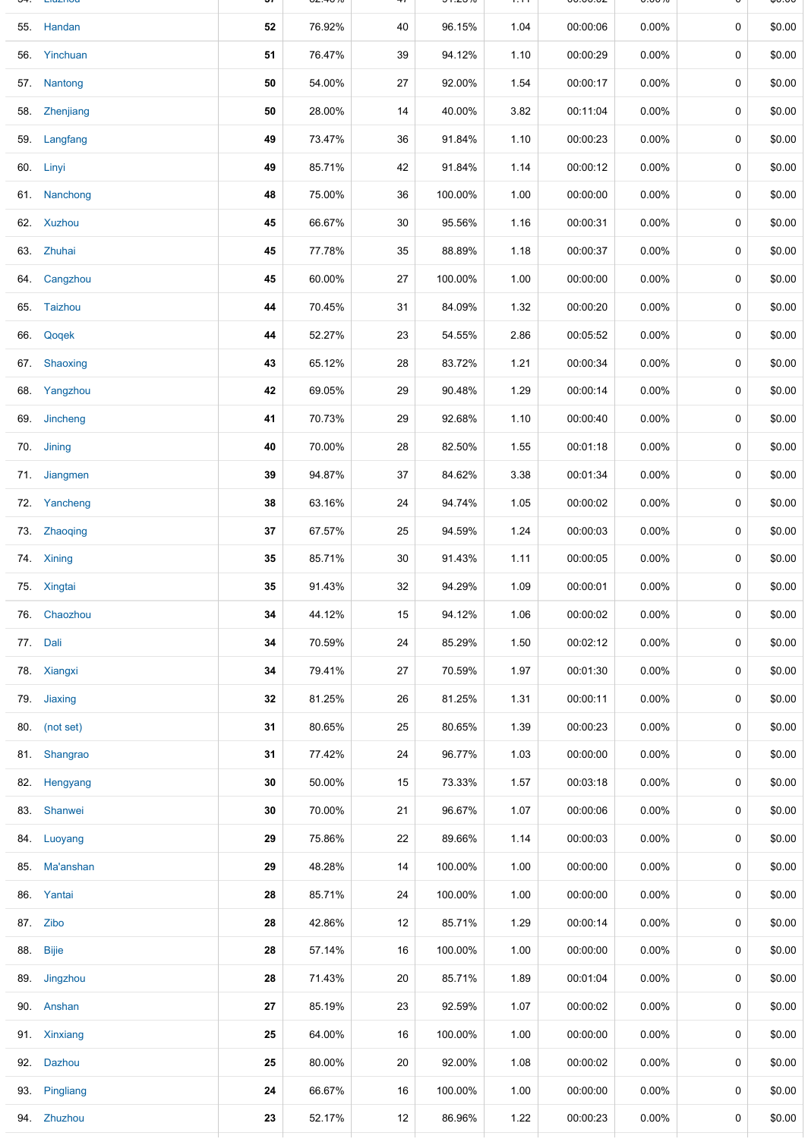| <b>LIUZITUU</b> | JI | 02. <del>4</del> 070 |    | <b>PILC V 70</b> | 1.11 | OU.OU.UZ | <b>0.0070</b> |   | ψυ.υυ  |
|-----------------|----|----------------------|----|------------------|------|----------|---------------|---|--------|
| 55. Handan      | 52 | 76.92%               | 40 | 96.15%           | 1.04 | 00:00:06 | 0.00%         | 0 | \$0.00 |
| 56. Yinchuan    | 51 | 76.47%               | 39 | 94.12%           | 1.10 | 00:00:29 | 0.00%         | 0 | \$0.00 |
| 57. Nantong     | 50 | 54.00%               | 27 | 92.00%           | 1.54 | 00:00:17 | $0.00\%$      | 0 | \$0.00 |
| 58. Zhenjiang   | 50 | 28.00%               | 14 | 40.00%           | 3.82 | 00:11:04 | $0.00\%$      | 0 | \$0.00 |
| 59. Langfang    | 49 | 73.47%               | 36 | 91.84%           | 1.10 | 00:00:23 | $0.00\%$      | 0 | \$0.00 |
| 60. Linyi       | 49 | 85.71%               | 42 | 91.84%           | 1.14 | 00:00:12 | $0.00\%$      | 0 | \$0.00 |
| 61. Nanchong    | 48 | 75.00%               | 36 | 100.00%          | 1.00 | 00:00:00 | $0.00\%$      | 0 | \$0.00 |
| 62. Xuzhou      | 45 | 66.67%               | 30 | 95.56%           | 1.16 | 00:00:31 | $0.00\%$      | 0 | \$0.00 |
| 63. Zhuhai      | 45 | 77.78%               | 35 | 88.89%           | 1.18 | 00:00:37 | $0.00\%$      | 0 | \$0.00 |
| 64. Cangzhou    | 45 | 60.00%               | 27 | 100.00%          | 1.00 | 00:00:00 | $0.00\%$      | 0 | \$0.00 |
| 65. Taizhou     | 44 | 70.45%               | 31 | 84.09%           | 1.32 | 00:00:20 | $0.00\%$      | 0 | \$0.00 |
| 66. Qoqek       | 44 | 52.27%               | 23 | 54.55%           | 2.86 | 00:05:52 | 0.00%         | 0 | \$0.00 |
| 67. Shaoxing    | 43 | 65.12%               | 28 | 83.72%           | 1.21 | 00:00:34 | 0.00%         | 0 | \$0.00 |
| 68. Yangzhou    | 42 | 69.05%               | 29 | 90.48%           | 1.29 | 00:00:14 | $0.00\%$      | 0 | \$0.00 |
| 69. Jincheng    | 41 | 70.73%               | 29 | 92.68%           | 1.10 | 00:00:40 | $0.00\%$      | 0 | \$0.00 |
| 70. Jining      | 40 | 70.00%               | 28 | 82.50%           | 1.55 | 00:01:18 | $0.00\%$      | 0 | \$0.00 |
| 71. Jiangmen    | 39 | 94.87%               | 37 | 84.62%           | 3.38 | 00:01:34 | $0.00\%$      | 0 | \$0.00 |
| 72. Yancheng    | 38 | 63.16%               | 24 | 94.74%           | 1.05 | 00:00:02 | 0.00%         | 0 | \$0.00 |
| 73. Zhaoqing    | 37 | 67.57%               | 25 | 94.59%           | 1.24 | 00:00:03 | 0.00%         | 0 | \$0.00 |
| 74. Xining      | 35 | 85.71%               | 30 | 91.43%           | 1.11 | 00:00:05 | $0.00\%$      | 0 | \$0.00 |
| 75. Xingtai     | 35 | 91.43%               | 32 | 94.29%           | 1.09 | 00:00:01 | $0.00\%$      | 0 | \$0.00 |
| 76. Chaozhou    | 34 | 44.12%               | 15 | 94.12%           | 1.06 | 00:00:02 | 0.00%         | 0 | \$0.00 |
| 77. Dali        | 34 | 70.59%               | 24 | 85.29%           | 1.50 | 00:02:12 | $0.00\%$      | 0 | \$0.00 |
| 78. Xiangxi     | 34 | 79.41%               | 27 | 70.59%           | 1.97 | 00:01:30 | 0.00%         | 0 | \$0.00 |
| 79. Jiaxing     | 32 | 81.25%               | 26 | 81.25%           | 1.31 | 00:00:11 | $0.00\%$      | 0 | \$0.00 |
| 80. (not set)   | 31 | 80.65%               | 25 | 80.65%           | 1.39 | 00:00:23 | 0.00%         | 0 | \$0.00 |
| 81. Shangrao    | 31 | 77.42%               | 24 | 96.77%           | 1.03 | 00:00:00 | 0.00%         | 0 | \$0.00 |
| 82. Hengyang    | 30 | 50.00%               | 15 | 73.33%           | 1.57 | 00:03:18 | 0.00%         | 0 | \$0.00 |
| 83. Shanwei     | 30 | 70.00%               | 21 | 96.67%           | 1.07 | 00:00:06 | 0.00%         | 0 | \$0.00 |
| 84. Luoyang     | 29 | 75.86%               | 22 | 89.66%           | 1.14 | 00:00:03 | $0.00\%$      | 0 | \$0.00 |
| 85. Ma'anshan   | 29 | 48.28%               | 14 | 100.00%          | 1.00 | 00:00:00 | 0.00%         | 0 | \$0.00 |
| 86. Yantai      | 28 | 85.71%               | 24 | 100.00%          | 1.00 | 00:00:00 | $0.00\%$      | 0 | \$0.00 |
| 87. Zibo        | 28 | 42.86%               | 12 | 85.71%           | 1.29 | 00:00:14 | 0.00%         | 0 | \$0.00 |
| 88. Bijie       | 28 | 57.14%               | 16 | 100.00%          | 1.00 | 00:00:00 | $0.00\%$      | 0 | \$0.00 |
| 89. Jingzhou    | 28 | 71.43%               | 20 | 85.71%           | 1.89 | 00:01:04 | $0.00\%$      | 0 | \$0.00 |
| 90. Anshan      | 27 | 85.19%               | 23 | 92.59%           | 1.07 | 00:00:02 | 0.00%         | 0 | \$0.00 |
| 91. Xinxiang    | 25 | 64.00%               | 16 | 100.00%          | 1.00 | 00:00:00 | 0.00%         | 0 | \$0.00 |
| 92. Dazhou      | 25 | 80.00%               | 20 | 92.00%           | 1.08 | 00:00:02 | 0.00%         | 0 | \$0.00 |
| 93. Pingliang   | 24 | 66.67%               | 16 | 100.00%          | 1.00 | 00:00:00 | 0.00%         | 0 | \$0.00 |
| 94. Zhuzhou     | 23 | 52.17%               | 12 | 86.96%           | 1.22 | 00:00:23 | 0.00%         | 0 | \$0.00 |
|                 |    |                      |    |                  |      |          |               |   |        |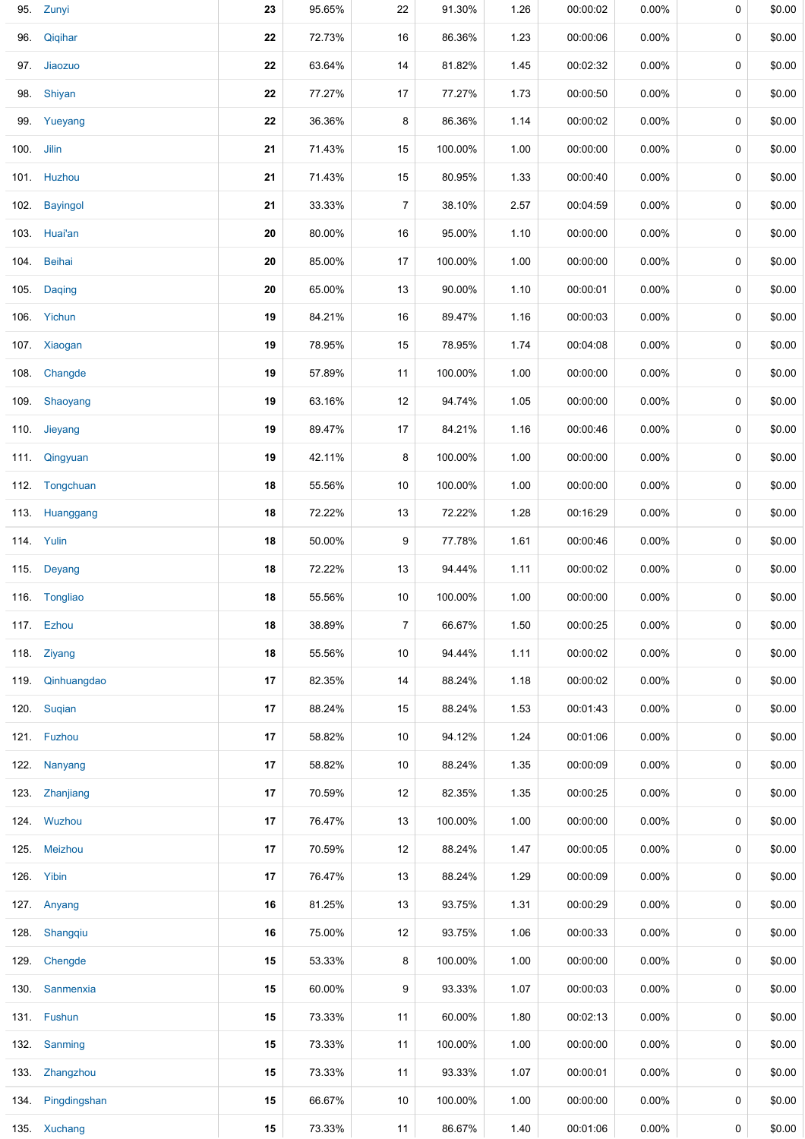|            | 95. Zunyi         | 23 | 95.65% | 22             | 91.30%  | 1.26 | 00:00:02 | 0.00%    | 0 | \$0.00 |
|------------|-------------------|----|--------|----------------|---------|------|----------|----------|---|--------|
| 96.        | Qiqihar           | 22 | 72.73% | 16             | 86.36%  | 1.23 | 00:00:06 | 0.00%    | 0 | \$0.00 |
|            | 97. Jiaozuo       | 22 | 63.64% | 14             | 81.82%  | 1.45 | 00:02:32 | $0.00\%$ | 0 | \$0.00 |
|            | 98. Shiyan        | 22 | 77.27% | 17             | 77.27%  | 1.73 | 00:00:50 | 0.00%    | 0 | \$0.00 |
|            | 99. Yueyang       | 22 | 36.36% | 8              | 86.36%  | 1.14 | 00:00:02 | 0.00%    | 0 | \$0.00 |
| 100. Jilin |                   | 21 | 71.43% | 15             | 100.00% | 1.00 | 00:00:00 | 0.00%    | 0 | \$0.00 |
|            | 101. Huzhou       | 21 | 71.43% | 15             | 80.95%  | 1.33 | 00:00:40 | 0.00%    | 0 | \$0.00 |
|            | 102. Bayingol     | 21 | 33.33% | $\overline{7}$ | 38.10%  | 2.57 | 00:04:59 | 0.00%    | 0 | \$0.00 |
|            | 103. Huai'an      | 20 | 80.00% | 16             | 95.00%  | 1.10 | 00:00:00 | 0.00%    | 0 | \$0.00 |
|            | 104. Beihai       | 20 | 85.00% | 17             | 100.00% | 1.00 | 00:00:00 | $0.00\%$ | 0 | \$0.00 |
|            | 105. Daging       | 20 | 65.00% | 13             | 90.00%  | 1.10 | 00:00:01 | 0.00%    | 0 | \$0.00 |
|            | 106. Yichun       | 19 | 84.21% | 16             | 89.47%  | 1.16 | 00:00:03 | 0.00%    | 0 | \$0.00 |
|            | 107. Xiaogan      | 19 | 78.95% | 15             | 78.95%  | 1.74 | 00:04:08 | 0.00%    | 0 | \$0.00 |
|            | 108. Changde      | 19 | 57.89% | 11             | 100.00% | 1.00 | 00:00:00 | 0.00%    | 0 | \$0.00 |
|            | 109. Shaoyang     | 19 | 63.16% | 12             | 94.74%  | 1.05 | 00:00:00 | 0.00%    | 0 | \$0.00 |
|            | 110. Jieyang      | 19 | 89.47% | 17             | 84.21%  | 1.16 | 00:00:46 | 0.00%    | 0 | \$0.00 |
|            | 111. Qingyuan     | 19 | 42.11% | 8              | 100.00% | 1.00 | 00:00:00 | 0.00%    | 0 | \$0.00 |
|            | 112. Tongchuan    | 18 | 55.56% | 10             | 100.00% | 1.00 | 00:00:00 | 0.00%    | 0 | \$0.00 |
|            | 113. Huanggang    | 18 | 72.22% | 13             | 72.22%  | 1.28 | 00:16:29 | $0.00\%$ | 0 | \$0.00 |
|            | 114. Yulin        | 18 | 50.00% | 9              | 77.78%  | 1.61 | 00:00:46 | 0.00%    | 0 | \$0.00 |
|            | 115. Deyang       | 18 | 72.22% | 13             | 94.44%  | 1.11 | 00:00:02 | 0.00%    | 0 | \$0.00 |
|            | 116. Tongliao     | 18 | 55.56% | 10             | 100.00% | 1.00 | 00:00:00 | 0.00%    | 0 | \$0.00 |
|            | 117. Ezhou        | 18 | 38.89% | 7              | 66.67%  | 1.50 | 00:00:25 | 0.00%    | 0 | \$0.00 |
|            | 118. Ziyang       | 18 | 55.56% | 10             | 94.44%  | 1.11 | 00:00:02 | 0.00%    | 0 | \$0.00 |
|            | 119. Qinhuangdao  | 17 | 82.35% | 14             | 88.24%  | 1.18 | 00:00:02 | 0.00%    | 0 | \$0.00 |
|            | 120. Suqian       | 17 | 88.24% | 15             | 88.24%  | 1.53 | 00:01:43 | $0.00\%$ | 0 | \$0.00 |
|            | 121. Fuzhou       | 17 | 58.82% | 10             | 94.12%  | 1.24 | 00:01:06 | $0.00\%$ | 0 | \$0.00 |
|            | 122. Nanyang      | 17 | 58.82% | 10             | 88.24%  | 1.35 | 00:00:09 | 0.00%    | 0 | \$0.00 |
|            | 123. Zhanjiang    | 17 | 70.59% | 12             | 82.35%  | 1.35 | 00:00:25 | 0.00%    | 0 | \$0.00 |
|            | 124. Wuzhou       | 17 | 76.47% | 13             | 100.00% | 1.00 | 00:00:00 | 0.00%    | 0 | \$0.00 |
|            | 125. Meizhou      | 17 | 70.59% | 12             | 88.24%  | 1.47 | 00:00:05 | $0.00\%$ | 0 | \$0.00 |
|            | 126. Yibin        | 17 | 76.47% | 13             | 88.24%  | 1.29 | 00:00:09 | $0.00\%$ | 0 | \$0.00 |
|            | 127. Anyang       | 16 | 81.25% | 13             | 93.75%  | 1.31 | 00:00:29 | $0.00\%$ | 0 | \$0.00 |
|            | 128. Shangqiu     | 16 | 75.00% | 12             | 93.75%  | 1.06 | 00:00:33 | $0.00\%$ | 0 | \$0.00 |
|            | 129. Chengde      | 15 | 53.33% | 8              | 100.00% | 1.00 | 00:00:00 | $0.00\%$ | 0 | \$0.00 |
|            | 130. Sanmenxia    | 15 | 60.00% | 9              | 93.33%  | 1.07 | 00:00:03 | $0.00\%$ | 0 | \$0.00 |
|            | 131. Fushun       | 15 | 73.33% | 11             | 60.00%  | 1.80 | 00:02:13 | 0.00%    | 0 | \$0.00 |
|            | 132. Sanming      | 15 | 73.33% | 11             | 100.00% | 1.00 | 00:00:00 | 0.00%    | 0 | \$0.00 |
|            | 133. Zhangzhou    | 15 | 73.33% | 11             | 93.33%  | 1.07 | 00:00:01 | 0.00%    | 0 | \$0.00 |
|            | 134. Pingdingshan | 15 | 66.67% | 10             | 100.00% | 1.00 | 00:00:00 | 0.00%    | 0 | \$0.00 |
|            | 135. Xuchang      | 15 | 73.33% | 11             | 86.67%  | 1.40 | 00:01:06 | 0.00%    | 0 | \$0.00 |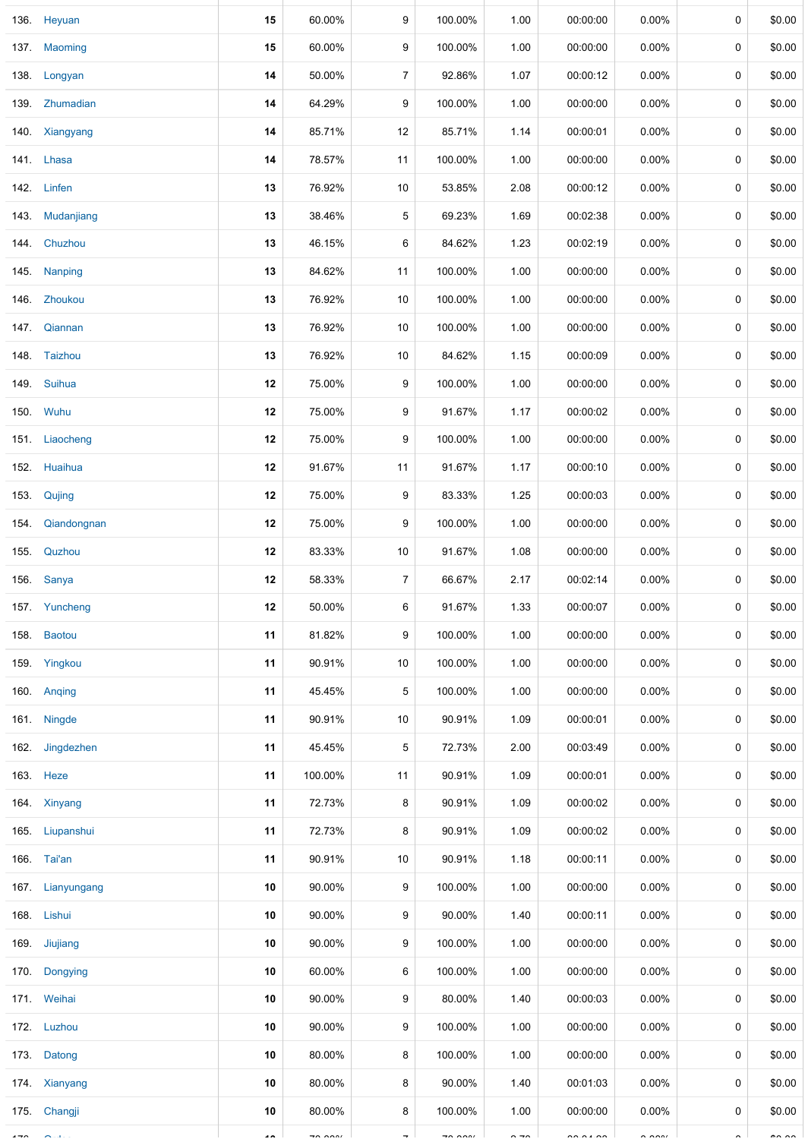| 136. Heyuan      | 15                  | 60.00%                        | 9                        | 100.00%                                   | 1.00         | 00:00:00             | $0.00\%$             | 0 | \$0.00         |
|------------------|---------------------|-------------------------------|--------------------------|-------------------------------------------|--------------|----------------------|----------------------|---|----------------|
| 137. Maoming     | 15                  | 60.00%                        | 9                        | 100.00%                                   | 1.00         | 00:00:00             | 0.00%                | 0 | \$0.00         |
| 138. Longyan     | 14                  | 50.00%                        | $\overline{7}$           | 92.86%                                    | 1.07         | 00:00:12             | 0.00%                | 0 | \$0.00         |
| 139 Zhumadian    | 14                  | 64.29%                        | 9                        | 100.00%                                   | 1.00         | 00:00:00             | 0.00%                | 0 | \$0.00         |
| 140. Xiangyang   | 14                  | 85.71%                        | 12                       | 85.71%                                    | 1.14         | 00:00:01             | 0.00%                | 0 | \$0.00         |
| 141. Lhasa       | 14                  | 78.57%                        | 11                       | 100.00%                                   | 1.00         | 00:00:00             | 0.00%                | 0 | \$0.00         |
| 142. Linfen      | 13                  | 76.92%                        | 10                       | 53.85%                                    | 2.08         | 00:00:12             | 0.00%                | 0 | \$0.00         |
| 143. Mudanjiang  | 13                  | 38.46%                        | 5                        | 69.23%                                    | 1.69         | 00:02:38             | $0.00\%$             | 0 | \$0.00         |
| 144. Chuzhou     | 13                  | 46.15%                        | 6                        | 84.62%                                    | 1.23         | 00:02:19             | $0.00\%$             | 0 | \$0.00         |
| 145. Nanping     | 13                  | 84.62%                        | 11                       | 100.00%                                   | 1.00         | 00:00:00             | $0.00\%$             | 0 | \$0.00         |
| 146. Zhoukou     | 13                  | 76.92%                        | 10                       | 100.00%                                   | 1.00         | 00:00:00             | $0.00\%$             | 0 | \$0.00         |
| 147. Qiannan     | 13                  | 76.92%                        | 10                       | 100.00%                                   | 1.00         | 00:00:00             | $0.00\%$             | 0 | \$0.00         |
| 148. Taizhou     | 13                  | 76.92%                        | 10                       | 84.62%                                    | 1.15         | 00:00:09             | 0.00%                | 0 | \$0.00         |
| 149. Suihua      | 12                  | 75.00%                        | 9                        | 100.00%                                   | 1.00         | 00:00:00             | 0.00%                | 0 | \$0.00         |
| 150. Wuhu        | 12                  | 75.00%                        | 9                        | 91.67%                                    | 1.17         | 00:00:02             | 0.00%                | 0 | \$0.00         |
| 151. Liaocheng   | 12                  | 75.00%                        | 9                        | 100.00%                                   | 1.00         | 00:00:00             | 0.00%                | 0 | \$0.00         |
| 152. Huaihua     | 12                  | 91.67%                        | 11                       | 91.67%                                    | 1.17         | 00:00:10             | 0.00%                | 0 | \$0.00         |
| 153. Qujing      | 12                  | 75.00%                        | 9                        | 83.33%                                    | 1.25         | 00:00:03             | 0.00%                | 0 | \$0.00         |
| 154. Qiandongnan | 12                  | 75.00%                        | 9                        | 100.00%                                   | 1.00         | 00:00:00             | $0.00\%$             | 0 | \$0.00         |
| 155. Quzhou      | 12                  | 83.33%                        | 10                       | 91.67%                                    | 1.08         | 00:00:00             | $0.00\%$             | 0 | \$0.00         |
| 156. Sanya       | 12                  | 58.33%                        | $\overline{7}$           | 66.67%                                    | 2.17         | 00:02:14             | $0.00\%$             | 0 | \$0.00         |
| 157 Yuncheng     | 12                  | 50.00%                        | 6                        | 91.67%                                    | 1.33         | 00:00:07             | 0.00%                | 0 | \$0.00         |
| 158. Baotou      | 11                  | 81.82%                        | 9                        | 100.00%                                   | 1.00         | 00:00:00             | 0.00%                | 0 | \$0.00         |
| 159. Yingkou     | 11                  | 90.91%                        | 10                       | 100.00%                                   | 1.00         | 00:00:00             | 0.00%                | 0 | \$0.00         |
| 160. Anging      | 11                  | 45.45%                        | 5                        | 100.00%                                   | 1.00         | 00:00:00             | 0.00%                | 0 | \$0.00         |
| 161. Ningde      | 11                  | 90.91%                        | 10                       | 90.91%                                    | 1.09         | 00:00:01             | 0.00%                | 0 | \$0.00         |
| 162. Jingdezhen  | 11                  | 45.45%                        | 5                        | 72.73%                                    | 2.00         | 00:03:49             | 0.00%                | 0 | \$0.00         |
| 163. Heze        | 11                  | 100.00%                       | 11                       | 90.91%                                    | 1.09         | 00:00:01             | 0.00%                | 0 | \$0.00         |
| 164. Xinyang     | 11                  | 72.73%                        | 8                        | 90.91%                                    | 1.09         | 00:00:02             | 0.00%                | 0 | \$0.00         |
| 165. Liupanshui  | 11                  | 72.73%                        | 8                        | 90.91%                                    | 1.09         | 00:00:02             | $0.00\%$             | 0 | \$0.00         |
| 166. Tai'an      | 11                  | 90.91%                        | 10                       | 90.91%                                    | 1.18         | 00:00:11             | $0.00\%$             | 0 | \$0.00         |
| 167. Lianyungang | 10                  | 90.00%                        | 9                        | 100.00%                                   | 1.00         | 00:00:00             | 0.00%                | 0 | \$0.00         |
| 168. Lishui      | 10                  | 90.00%                        | 9                        | 90.00%                                    | 1.40         | 00:00:11             | 0.00%                | 0 | \$0.00         |
| 169. Jiujiang    | 10                  | 90.00%                        | 9                        | 100.00%                                   | 1.00         | 00:00:00             | $0.00\%$             | 0 | \$0.00         |
| 170. Dongying    | 10                  | 60.00%                        | 6                        | 100.00%                                   | 1.00         | 00:00:00             | $0.00\%$             | 0 | \$0.00         |
| 171. Weihai      | 10                  | 90.00%                        | 9                        | 80.00%                                    | 1.40         | 00:00:03             | $0.00\%$             | 0 | \$0.00         |
| 172. Luzhou      | 10                  | 90.00%                        | 9                        | 100.00%                                   | 1.00         | 00:00:00             | $0.00\%$             | 0 | \$0.00         |
| 173. Datong      | 10                  | 80.00%                        | 8                        | 100.00%                                   | 1.00         | 00:00:00             | $0.00\%$             | 0 | \$0.00         |
| 174. Xianyang    | 10                  | 80.00%                        | 8                        | 90.00%                                    | 1.40         | 00:01:03             | $0.00\%$             | 0 | \$0.00         |
| 175. Changji     | 10                  | 80.00%                        | 8                        | 100.00%                                   | 1.00         | 00:00:00             | $0.00\%$             | 0 | \$0.00         |
| $\sim$ $\sim$    | $\bullet$ $\bullet$ | $\overline{z}$ $\overline{z}$ | $\overline{\phantom{0}}$ | $\rightarrow$ $\rightarrow$ $\rightarrow$ | $\sim -\sim$ | $\sim$ $\sim$ $\sim$ | $\sim$ $\sim$ $\sim$ |   | $\overline{a}$ |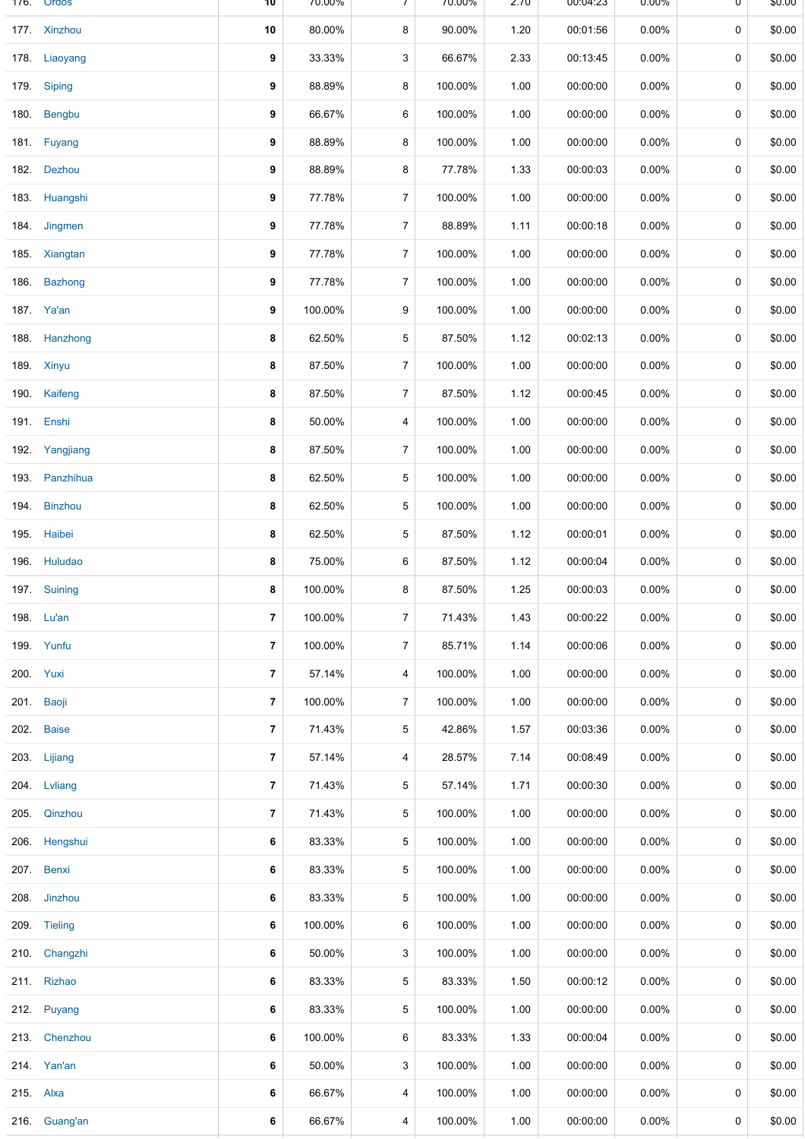|      | 176. Ordos     | 10                       | 70.00%  | $\prime$       | 70.00%  | 2.70 | 00:04:23 | 0.00%    | U | \$0.00 |
|------|----------------|--------------------------|---------|----------------|---------|------|----------|----------|---|--------|
|      | 177. Xinzhou   | 10                       | 80.00%  | 8              | 90.00%  | 1.20 | 00:01:56 | 0.00%    | 0 | \$0.00 |
|      | 178. Liaoyang  | 9                        | 33.33%  | 3              | 66.67%  | 2.33 | 00:13:45 | 0.00%    | 0 | \$0.00 |
|      | 179. Siping    | 9                        | 88.89%  | 8              | 100.00% | 1.00 | 00:00:00 | 0.00%    | 0 | \$0.00 |
|      | 180. Bengbu    | 9                        | 66.67%  | 6              | 100.00% | 1.00 | 00:00:00 | 0.00%    | 0 | \$0.00 |
|      | 181. Fuyang    | 9                        | 88.89%  | 8              | 100.00% | 1.00 | 00:00:00 | 0.00%    | 0 | \$0.00 |
|      | 182. Dezhou    | 9                        | 88.89%  | 8              | 77.78%  | 1.33 | 00:00:03 | 0.00%    | 0 | \$0.00 |
|      | 183. Huangshi  | 9                        | 77.78%  | 7              | 100.00% | 1.00 | 00:00:00 | 0.00%    | 0 | \$0.00 |
|      | 184. Jingmen   | 9                        | 77.78%  | $\overline{7}$ | 88.89%  | 1.11 | 00:00:18 | 0.00%    | 0 | \$0.00 |
|      | 185. Xiangtan  | 9                        | 77.78%  | $\overline{7}$ | 100.00% | 1.00 | 00:00:00 | $0.00\%$ | 0 | \$0.00 |
|      | 186. Bazhong   | 9                        | 77.78%  | $\overline{7}$ | 100.00% | 1.00 | 00:00:00 | 0.00%    | 0 | \$0.00 |
|      | 187. Ya'an     | 9                        | 100.00% | 9              | 100.00% | 1.00 | 00:00:00 | 0.00%    | 0 | \$0.00 |
|      | 188. Hanzhong  | 8                        | 62.50%  | 5              | 87.50%  | 1.12 | 00:02:13 | 0.00%    | 0 | \$0.00 |
|      | 189. Xinyu     | 8                        | 87.50%  | $\overline{7}$ | 100.00% | 1.00 | 00:00:00 | 0.00%    | 0 | \$0.00 |
|      | 190. Kaifeng   | 8                        | 87.50%  | 7              | 87.50%  | 1.12 | 00:00:45 | 0.00%    | 0 | \$0.00 |
|      | 191. Enshi     | 8                        | 50.00%  | 4              | 100.00% | 1.00 | 00:00:00 | 0.00%    | 0 | \$0.00 |
|      | 192. Yangjiang | 8                        | 87.50%  | 7              | 100.00% | 1.00 | 00:00:00 | 0.00%    | 0 | \$0.00 |
|      | 193. Panzhihua | 8                        | 62.50%  | 5              | 100.00% | 1.00 | 00:00:00 | 0.00%    | 0 | \$0.00 |
|      | 194. Binzhou   | 8                        | 62.50%  | 5              | 100.00% | 1.00 | 00:00:00 | 0.00%    | 0 | \$0.00 |
| 195. | Haibei         | 8                        | 62.50%  | 5              | 87.50%  | 1.12 | 00:00:01 | 0.00%    | 0 | \$0.00 |
|      | 196. Huludao   | 8                        | 75.00%  | 6              | 87.50%  | 1.12 | 00:00:04 | 0.00%    | 0 | \$0.00 |
|      | 197. Suining   | 8                        | 100.00% | 8              | 87.50%  | 1.25 | 00:00:03 | 0.00%    | 0 | \$0.00 |
|      | 198. Lu'an     | 7                        | 100.00% | $\overline{7}$ | 71.43%  | 1.43 | 00:00:22 | 0.00%    | 0 | \$0.00 |
|      | 199. Yunfu     | $\overline{\phantom{a}}$ | 100.00% | $\overline{7}$ | 85.71%  | 1.14 | 00:00:06 | 0.00%    | 0 | \$0.00 |
|      | 200. Yuxi      | $\overline{\phantom{a}}$ | 57.14%  | 4              | 100.00% | 1.00 | 00:00:00 | 0.00%    | 0 | \$0.00 |
|      | 201. Baoji     | 7                        | 100.00% | 7              | 100.00% | 1.00 | 00:00:00 | 0.00%    | 0 | \$0.00 |
|      | 202. Baise     | $\overline{7}$           | 71.43%  | 5              | 42.86%  | 1.57 | 00:03:36 | 0.00%    | 0 | \$0.00 |
|      | 203. Lijiang   | 7                        | 57.14%  | 4              | 28.57%  | 7.14 | 00:08:49 | 0.00%    | 0 | \$0.00 |
|      | 204. Lvliang   | $\overline{7}$           | 71.43%  | 5              | 57.14%  | 1.71 | 00:00:30 | 0.00%    | 0 | \$0.00 |
|      | 205. Qinzhou   | 7                        | 71.43%  | 5              | 100.00% | 1.00 | 00:00:00 | $0.00\%$ | 0 | \$0.00 |
| 206. | Hengshui       | 6                        | 83.33%  | 5              | 100.00% | 1.00 | 00:00:00 | 0.00%    | 0 | \$0.00 |
|      | 207. Benxi     | 6                        | 83.33%  | 5              | 100.00% | 1.00 | 00:00:00 | 0.00%    | 0 | \$0.00 |
|      | 208. Jinzhou   | 6                        | 83.33%  | 5              | 100.00% | 1.00 | 00:00:00 | 0.00%    | 0 | \$0.00 |
|      | 209. Tieling   | 6                        | 100.00% | 6              | 100.00% | 1.00 | 00:00:00 | $0.00\%$ | 0 | \$0.00 |
|      | 210. Changzhi  | 6                        | 50.00%  | 3              | 100.00% | 1.00 | 00:00:00 | 0.00%    | 0 | \$0.00 |
|      | 211. Rizhao    | 6                        | 83.33%  | 5              | 83.33%  | 1.50 | 00:00:12 | 0.00%    | 0 | \$0.00 |
|      | 212. Puyang    | 6                        | 83.33%  | 5              | 100.00% | 1.00 | 00:00:00 | 0.00%    | 0 | \$0.00 |
|      | 213. Chenzhou  | 6                        | 100.00% | 6              | 83.33%  | 1.33 | 00:00:04 | 0.00%    | 0 | \$0.00 |
|      | 214. Yan'an    | 6                        | 50.00%  | 3              | 100.00% | 1.00 | 00:00:00 | $0.00\%$ | 0 | \$0.00 |
|      | 215. Alxa      | 6                        | 66.67%  | 4              | 100.00% | 1.00 | 00:00:00 | 0.00%    | 0 | \$0.00 |
|      | 216. Guang'an  | 6                        | 66.67%  | 4              | 100.00% | 1.00 | 00:00:00 | 0.00%    | 0 | \$0.00 |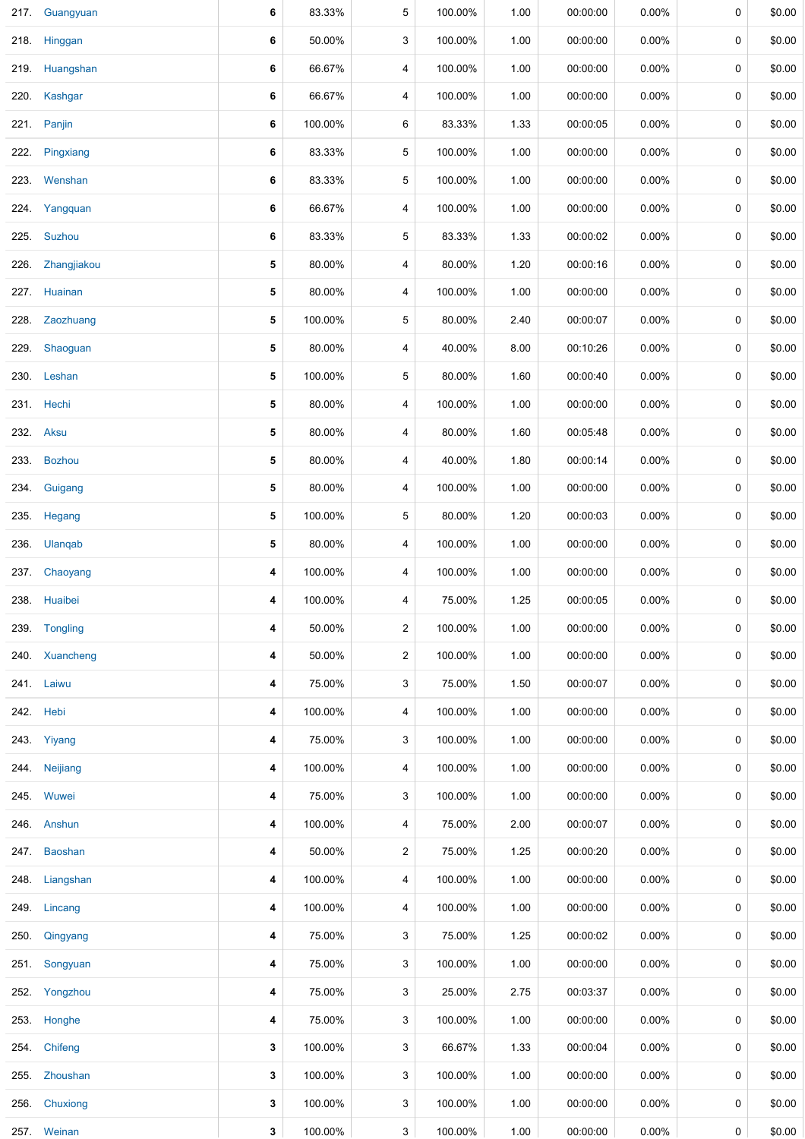|      | 217. Guangyuan | 6 | 83.33%  | 5                       | 100.00% | 1.00 | 00:00:00 | 0.00%    | 0 | \$0.00 |
|------|----------------|---|---------|-------------------------|---------|------|----------|----------|---|--------|
|      | 218. Hinggan   | 6 | 50.00%  | 3                       | 100.00% | 1.00 | 00:00:00 | 0.00%    | 0 | \$0.00 |
|      | 219. Huangshan | 6 | 66.67%  | 4                       | 100.00% | 1.00 | 00:00:00 | $0.00\%$ | 0 | \$0.00 |
|      | 220. Kashgar   | 6 | 66.67%  | 4                       | 100.00% | 1.00 | 00:00:00 | 0.00%    | 0 | \$0.00 |
|      | 221. Panjin    | 6 | 100.00% | 6                       | 83.33%  | 1.33 | 00:00:05 | 0.00%    | 0 | \$0.00 |
| 222. | Pingxiang      | 6 | 83.33%  | 5                       | 100.00% | 1.00 | 00:00:00 | 0.00%    | 0 | \$0.00 |
|      | 223. Wenshan   | 6 | 83.33%  | 5                       | 100.00% | 1.00 | 00:00:00 | 0.00%    | 0 | \$0.00 |
|      | 224. Yangquan  | 6 | 66.67%  | $\overline{\mathbf{4}}$ | 100.00% | 1.00 | 00:00:00 | 0.00%    | 0 | \$0.00 |
|      | 225. Suzhou    | 6 | 83.33%  | 5                       | 83.33%  | 1.33 | 00:00:02 | $0.00\%$ | 0 | \$0.00 |
| 226. | Zhangjiakou    | 5 | 80.00%  | $\overline{\mathbf{4}}$ | 80.00%  | 1.20 | 00:00:16 | $0.00\%$ | 0 | \$0.00 |
|      | 227. Huainan   | 5 | 80.00%  | 4                       | 100.00% | 1.00 | 00:00:00 | 0.00%    | 0 | \$0.00 |
|      | 228. Zaozhuang | 5 | 100.00% | 5                       | 80.00%  | 2.40 | 00:00:07 | 0.00%    | 0 | \$0.00 |
|      | 229. Shaoguan  | 5 | 80.00%  | 4                       | 40.00%  | 8.00 | 00:10:26 | 0.00%    | 0 | \$0.00 |
|      | 230. Leshan    | 5 | 100.00% | 5                       | 80.00%  | 1.60 | 00:00:40 | 0.00%    | 0 | \$0.00 |
|      | 231. Hechi     | 5 | 80.00%  | 4                       | 100.00% | 1.00 | 00:00:00 | 0.00%    | 0 | \$0.00 |
|      | 232. Aksu      | 5 | 80.00%  | 4                       | 80.00%  | 1.60 | 00:05:48 | 0.00%    | 0 | \$0.00 |
| 233. | <b>Bozhou</b>  | 5 | 80.00%  | 4                       | 40.00%  | 1.80 | 00:00:14 | 0.00%    | 0 | \$0.00 |
| 234. | Guigang        | 5 | 80.00%  | 4                       | 100.00% | 1.00 | 00:00:00 | 0.00%    | 0 | \$0.00 |
| 235. | Hegang         | 5 | 100.00% | 5                       | 80.00%  | 1.20 | 00:00:03 | 0.00%    | 0 | \$0.00 |
|      | 236. Ulanqab   | 5 | 80.00%  | 4                       | 100.00% | 1.00 | 00:00:00 | 0.00%    | 0 | \$0.00 |
|      | 237. Chaoyang  | 4 | 100.00% | 4                       | 100.00% | 1.00 | 00:00:00 | 0.00%    | 0 | \$0.00 |
|      | 238. Huaibei   | 4 | 100.00% | 4                       | 75.00%  | 1.25 | 00:00:05 | 0.00%    | 0 | \$0.00 |
|      | 239. Tongling  | 4 | 50.00%  | $\overline{2}$          | 100.00% | 1.00 | 00:00:00 | $0.00\%$ | 0 | \$0.00 |
|      | 240. Xuancheng | 4 | 50.00%  | $\overline{2}$          | 100.00% | 1.00 | 00:00:00 | 0.00%    | 0 | \$0.00 |
|      | 241. Laiwu     | 4 | 75.00%  | 3                       | 75.00%  | 1.50 | 00:00:07 | 0.00%    | 0 | \$0.00 |
|      | 242. Hebi      | 4 | 100.00% | 4                       | 100.00% | 1.00 | 00:00:00 | 0.00%    | 0 | \$0.00 |
|      | 243. Yiyang    | 4 | 75.00%  | 3                       | 100.00% | 1.00 | 00:00:00 | 0.00%    | 0 | \$0.00 |
|      | 244. Neijiang  | 4 | 100.00% | $\overline{\mathbf{4}}$ | 100.00% | 1.00 | 00:00:00 | 0.00%    | 0 | \$0.00 |
|      | 245. Wuwei     | 4 | 75.00%  | 3                       | 100.00% | 1.00 | 00:00:00 | 0.00%    | 0 | \$0.00 |
|      | 246. Anshun    | 4 | 100.00% | 4                       | 75.00%  | 2.00 | 00:00:07 | 0.00%    | 0 | \$0.00 |
|      | 247. Baoshan   | 4 | 50.00%  | $\overline{2}$          | 75.00%  | 1.25 | 00:00:20 | 0.00%    | 0 | \$0.00 |
|      | 248. Liangshan | 4 | 100.00% | 4                       | 100.00% | 1.00 | 00:00:00 | 0.00%    | 0 | \$0.00 |
|      | 249. Lincang   | 4 | 100.00% | 4                       | 100.00% | 1.00 | 00:00:00 | $0.00\%$ | 0 | \$0.00 |
|      | 250. Qingyang  | 4 | 75.00%  | 3                       | 75.00%  | 1.25 | 00:00:02 | $0.00\%$ | 0 | \$0.00 |
|      | 251. Songyuan  | 4 | 75.00%  | 3                       | 100.00% | 1.00 | 00:00:00 | $0.00\%$ | 0 | \$0.00 |
|      | 252. Yongzhou  | 4 | 75.00%  | 3                       | 25.00%  | 2.75 | 00:03:37 | $0.00\%$ | 0 | \$0.00 |
|      | 253. Honghe    | 4 | 75.00%  | 3                       | 100.00% | 1.00 | 00:00:00 | $0.00\%$ | 0 | \$0.00 |
|      | 254. Chifeng   | 3 | 100.00% | 3                       | 66.67%  | 1.33 | 00:00:04 | $0.00\%$ | 0 | \$0.00 |
|      | 255. Zhoushan  | 3 | 100.00% | 3                       | 100.00% | 1.00 | 00:00:00 | $0.00\%$ | 0 | \$0.00 |
|      | 256. Chuxiong  | 3 | 100.00% | 3                       | 100.00% | 1.00 | 00:00:00 | $0.00\%$ | 0 | \$0.00 |
|      | 257. Weinan    | 3 | 100.00% | 3                       | 100.00% | 1.00 | 00:00:00 | 0.00%    | 0 | \$0.00 |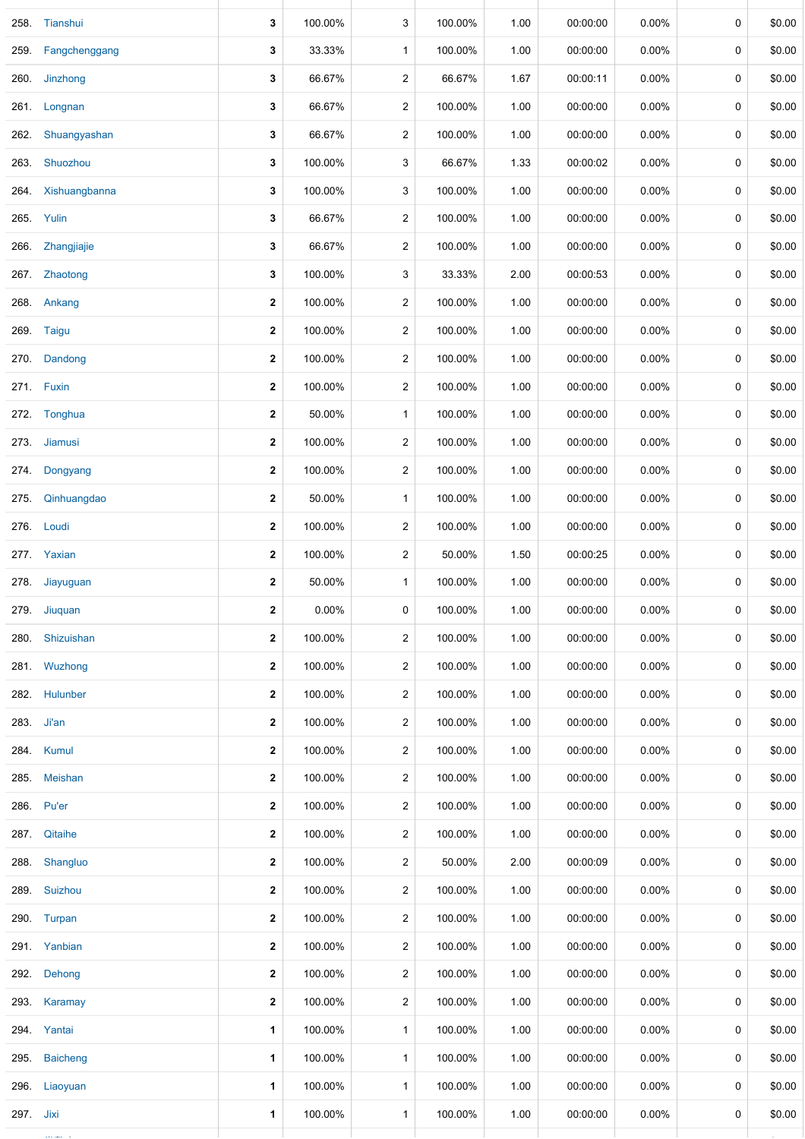| 258.      | Tianshui           | 3            | 100.00% | 3                       | 100.00% | 1.00 | 00:00:00 | 0.00%    | 0 | \$0.00 |
|-----------|--------------------|--------------|---------|-------------------------|---------|------|----------|----------|---|--------|
| 259.      | Fangchenggang      | 3            | 33.33%  | $\mathbf{1}$            | 100.00% | 1.00 | 00:00:00 | 0.00%    | 0 | \$0.00 |
|           | 260. Jinzhong      | 3            | 66.67%  | $\overline{c}$          | 66.67%  | 1.67 | 00:00:11 | $0.00\%$ | 0 | \$0.00 |
|           | 261. Longnan       | 3            | 66.67%  | $\overline{2}$          | 100.00% | 1.00 | 00:00:00 | $0.00\%$ | 0 | \$0.00 |
| 262.      | Shuangyashan       | 3            | 66.67%  | $\overline{c}$          | 100.00% | 1.00 | 00:00:00 | $0.00\%$ | 0 | \$0.00 |
|           | 263. Shuozhou      | 3            | 100.00% | 3                       | 66.67%  | 1.33 | 00:00:02 | $0.00\%$ | 0 | \$0.00 |
|           | 264. Xishuangbanna | 3            | 100.00% | 3                       | 100.00% | 1.00 | 00:00:00 | 0.00%    | 0 | \$0.00 |
|           | 265. Yulin         | 3            | 66.67%  | $\overline{c}$          | 100.00% | 1.00 | 00:00:00 | $0.00\%$ | 0 | \$0.00 |
|           | 266. Zhangjiajie   | 3            | 66.67%  | $\overline{c}$          | 100.00% | 1.00 | 00:00:00 | $0.00\%$ | 0 | \$0.00 |
| 267.      | Zhaotong           | 3            | 100.00% | 3                       | 33.33%  | 2.00 | 00:00:53 | $0.00\%$ | 0 | \$0.00 |
|           | 268. Ankang        | $\mathbf 2$  | 100.00% | $\overline{c}$          | 100.00% | 1.00 | 00:00:00 | 0.00%    | 0 | \$0.00 |
| 269.      | Taigu              | $\mathbf{2}$ | 100.00% | $\overline{c}$          | 100.00% | 1.00 | 00:00:00 | 0.00%    | 0 | \$0.00 |
| 270.      | Dandong            | 2            | 100.00% | $\overline{c}$          | 100.00% | 1.00 | 00:00:00 | $0.00\%$ | 0 | \$0.00 |
|           | 271. Fuxin         | 2            | 100.00% | $\overline{c}$          | 100.00% | 1.00 | 00:00:00 | $0.00\%$ | 0 | \$0.00 |
|           | 272. Tonghua       | $\mathbf 2$  | 50.00%  | $\mathbf{1}$            | 100.00% | 1.00 | 00:00:00 | $0.00\%$ | 0 | \$0.00 |
|           | 273. Jiamusi       | $\mathbf 2$  | 100.00% | $\overline{c}$          | 100.00% | 1.00 | 00:00:00 | 0.00%    | 0 | \$0.00 |
| 274.      | Dongyang           | $\mathbf 2$  | 100.00% | $\overline{c}$          | 100.00% | 1.00 | 00:00:00 | $0.00\%$ | 0 | \$0.00 |
| 275.      | Qinhuangdao        | 2            | 50.00%  | $\mathbf{1}$            | 100.00% | 1.00 | 00:00:00 | $0.00\%$ | 0 | \$0.00 |
|           | 276. Loudi         | $\mathbf{2}$ | 100.00% | $\overline{c}$          | 100.00% | 1.00 | 00:00:00 | $0.00\%$ | 0 | \$0.00 |
|           | 277. Yaxian        | 2            | 100.00% | $\overline{c}$          | 50.00%  | 1.50 | 00:00:25 | $0.00\%$ | 0 | \$0.00 |
| 278.      | Jiayuguan          | $\mathbf{2}$ | 50.00%  | $\mathbf{1}$            | 100.00% | 1.00 | 00:00:00 | 0.00%    | 0 | \$0.00 |
|           | 279. Jiuquan       | 2            | 0.00%   | 0                       | 100.00% | 1.00 | 00:00:00 | 0.00%    | 0 | \$0.00 |
|           | 280. Shizuishan    | $\mathbf 2$  | 100.00% | $\overline{c}$          | 100.00% | 1.00 | 00:00:00 | 0.00%    | 0 | \$0.00 |
|           | 281. Wuzhong       | 2            | 100.00% | $\overline{c}$          | 100.00% | 1.00 | 00:00:00 | $0.00\%$ | 0 | \$0.00 |
|           | 282. Hulunber      | 2            | 100.00% | $\overline{\mathbf{c}}$ | 100.00% | 1.00 | 00:00:00 | $0.00\%$ | 0 | \$0.00 |
|           | 283. Ji'an         | 2            | 100.00% | $\overline{c}$          | 100.00% | 1.00 | 00:00:00 | $0.00\%$ | 0 | \$0.00 |
|           | 284. Kumul         | $\mathbf 2$  | 100.00% | $\overline{c}$          | 100.00% | 1.00 | 00:00:00 | $0.00\%$ | 0 | \$0.00 |
|           | 285. Meishan       | 2            | 100.00% | $\overline{c}$          | 100.00% | 1.00 | 00:00:00 | $0.00\%$ | 0 | \$0.00 |
|           | 286. Pu'er         | 2            | 100.00% | $\overline{c}$          | 100.00% | 1.00 | 00:00:00 | $0.00\%$ | 0 | \$0.00 |
|           | 287. Qitaihe       | $\mathbf{2}$ | 100.00% | $\overline{c}$          | 100.00% | 1.00 | 00:00:00 | $0.00\%$ | 0 | \$0.00 |
|           | 288. Shangluo      | 2            | 100.00% | $\overline{c}$          | 50.00%  | 2.00 | 00:00:09 | $0.00\%$ | 0 | \$0.00 |
|           | 289. Suizhou       | $\mathbf{2}$ | 100.00% | $\overline{c}$          | 100.00% | 1.00 | 00:00:00 | $0.00\%$ | 0 | \$0.00 |
|           | 290. Turpan        | 2            | 100.00% | $\overline{c}$          | 100.00% | 1.00 | 00:00:00 | $0.00\%$ | 0 | \$0.00 |
|           | 291. Yanbian       | 2            | 100.00% | $\overline{c}$          | 100.00% | 1.00 | 00:00:00 | $0.00\%$ | 0 | \$0.00 |
|           | 292. Dehong        | 2            | 100.00% | $\overline{c}$          | 100.00% | 1.00 | 00:00:00 | $0.00\%$ | 0 | \$0.00 |
|           | 293. Karamay       | 2            | 100.00% | $\overline{c}$          | 100.00% | 1.00 | 00:00:00 | $0.00\%$ | 0 | \$0.00 |
|           | 294. Yantai        | 1            | 100.00% | $\mathbf{1}$            | 100.00% | 1.00 | 00:00:00 | $0.00\%$ | 0 | \$0.00 |
|           | 295. Baicheng      | 1            | 100.00% | $\mathbf{1}$            | 100.00% | 1.00 | 00:00:00 | $0.00\%$ | 0 | \$0.00 |
|           | 296. Liaoyuan      | 1            | 100.00% | $\mathbf{1}$            | 100.00% | 1.00 | 00:00:00 | $0.00\%$ | 0 | \$0.00 |
| 297. Jixi |                    | 1            | 100.00% | $\mathbf{1}$            | 100.00% | 1.00 | 00:00:00 | 0.00%    | 0 | \$0.00 |
|           |                    |              |         |                         |         |      |          |          |   |        |